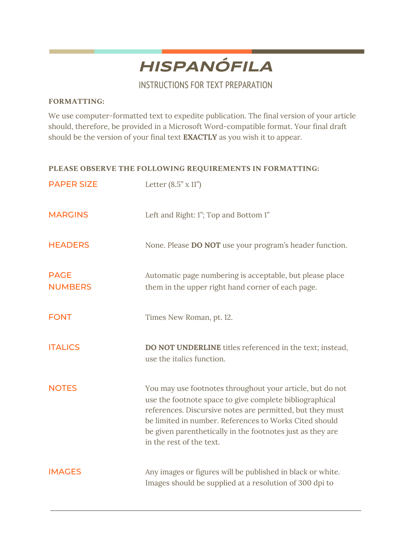

INSTRUCTIONS FOR TEXT PREPARATION

## **FORMATTING:**

We use computer-formatted text to expedite publication. The final version of your article should, therefore, be provided in a Microsoft Word-compatible format. Your final draft should be the version of your final text **EXACTLY** as you wish it to appear.

## **PLEASE OBSERVE THE FOLLOWING REQUIREMENTS IN FORMATTING:**

| <b>PAPER SIZE</b>             | Letter $(8.5" \times 11")$                                                                                                                                                                                                                                                                                                            |
|-------------------------------|---------------------------------------------------------------------------------------------------------------------------------------------------------------------------------------------------------------------------------------------------------------------------------------------------------------------------------------|
| <b>MARGINS</b>                | Left and Right: 1"; Top and Bottom 1"                                                                                                                                                                                                                                                                                                 |
| <b>HEADERS</b>                | None. Please DO NOT use your program's header function.                                                                                                                                                                                                                                                                               |
| <b>PAGE</b><br><b>NUMBERS</b> | Automatic page numbering is acceptable, but please place<br>them in the upper right hand corner of each page.                                                                                                                                                                                                                         |
| <b>FONT</b>                   | Times New Roman, pt. 12.                                                                                                                                                                                                                                                                                                              |
| <b>ITALICS</b>                | <b>DO NOT UNDERLINE</b> titles referenced in the text; instead,<br>use the <i>italics</i> function.                                                                                                                                                                                                                                   |
| <b>NOTES</b>                  | You may use footnotes throughout your article, but do not<br>use the footnote space to give complete bibliographical<br>references. Discursive notes are permitted, but they must<br>be limited in number. References to Works Cited should<br>be given parenthetically in the footnotes just as they are<br>in the rest of the text. |
| <b>IMAGES</b>                 | Any images or figures will be published in black or white.<br>Images should be supplied at a resolution of 300 dpi to                                                                                                                                                                                                                 |